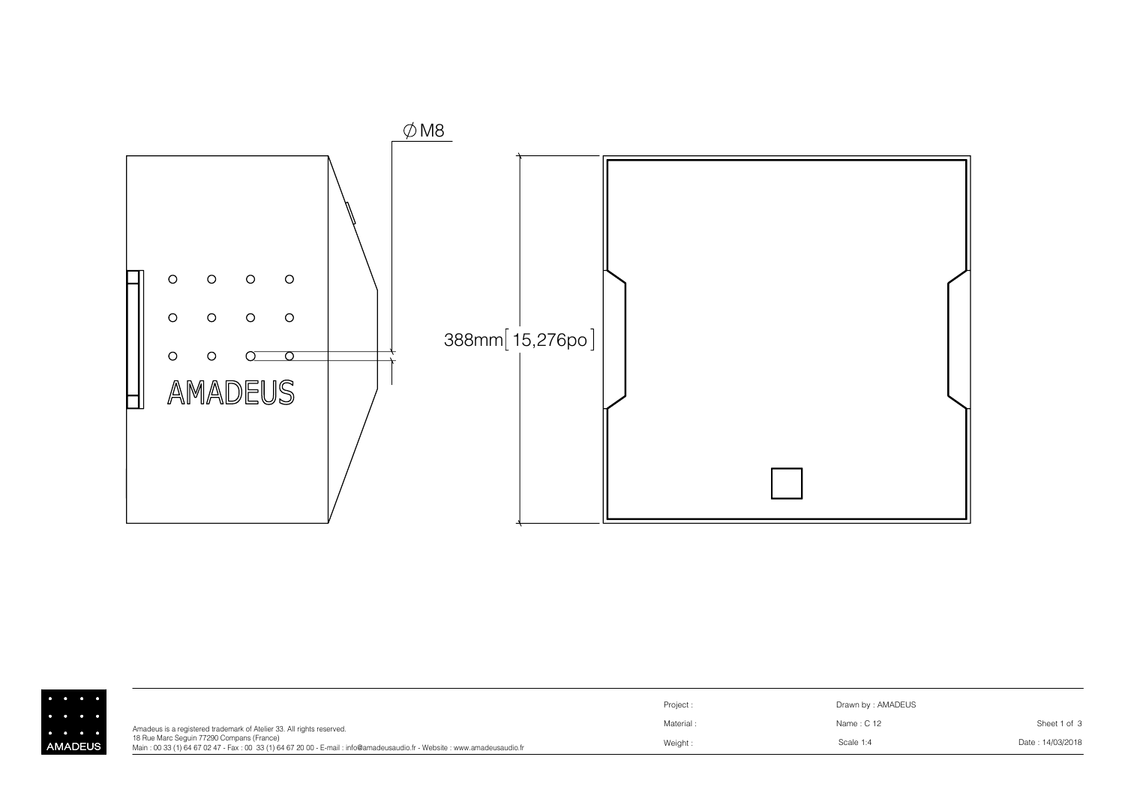

| .              |                                                                                                                                                                     | Project:  | Drawn by: AMADEUS |                  |
|----------------|---------------------------------------------------------------------------------------------------------------------------------------------------------------------|-----------|-------------------|------------------|
| .<br>.         | Amadeus is a registered trademark of Atelier 33. All rights reserved.                                                                                               | Material: | Name: C 12        | Sheet 1 of 3     |
| <b>AMADEUS</b> | 18 Rue Marc Seguin 77290 Compans (France)<br>Main: 00 33 (1) 64 67 02 47 - Fax: 00 33 (1) 64 67 20 00 - E-mail: info@amadeusaudio.fr - Website: www.amadeusaudio.fr | Weight:   | Scale 1:4         | Date: 14/03/2018 |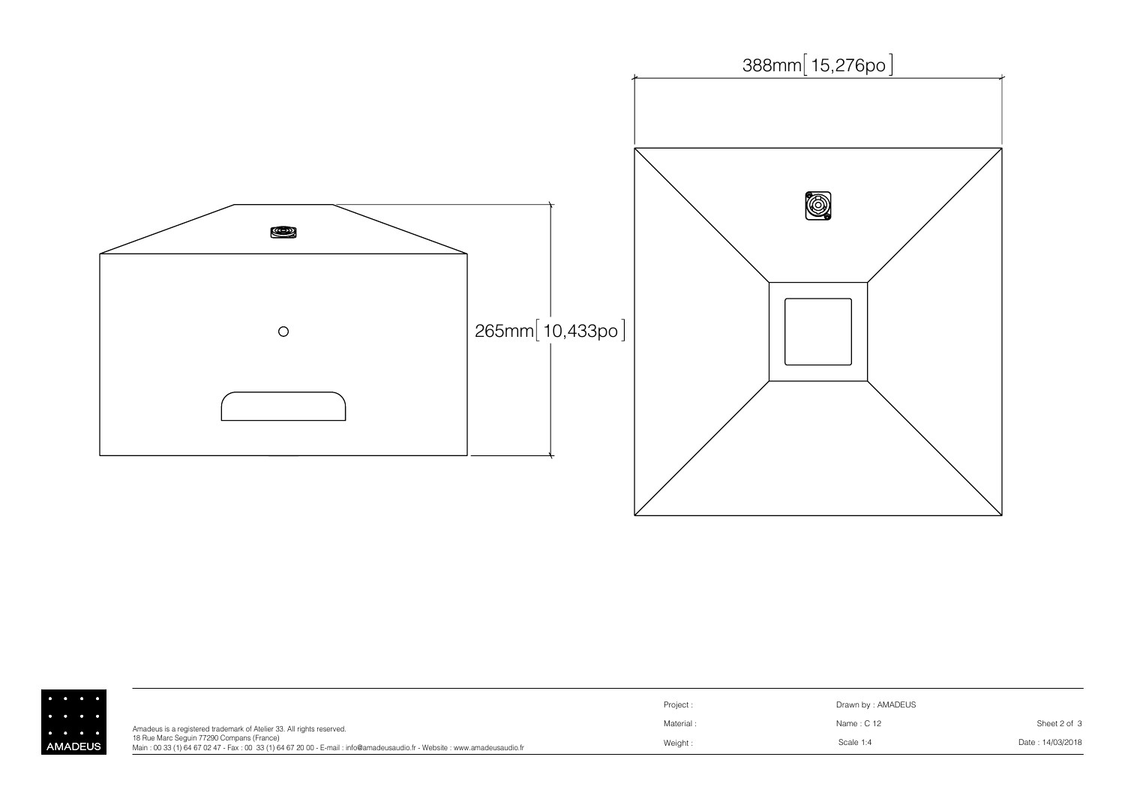

| $\begin{array}{ccccccccccccccccc} \bullet & \bullet & \bullet & \bullet & \bullet & \bullet & \bullet \end{array}$ |                                                                                                                                                                     | Project:  | Drawn by: AMADEUS |                  |
|--------------------------------------------------------------------------------------------------------------------|---------------------------------------------------------------------------------------------------------------------------------------------------------------------|-----------|-------------------|------------------|
| $\cdots$<br>$\begin{array}{cccccccccccccc} \bullet & \bullet & \bullet & \bullet & \bullet & \bullet \end{array}$  | Amadeus is a registered trademark of Atelier 33. All rights reserved.                                                                                               | Material: | Name: C 12        | Sheet 2 of 3     |
| AMADEUS I                                                                                                          | 18 Rue Marc Seguin 77290 Compans (France)<br>Main: 00 33 (1) 64 67 02 47 - Fax: 00 33 (1) 64 67 20 00 - E-mail: info@amadeusaudio.fr - Website: www.amadeusaudio.fr | Weight:   | Scale 1:4         | Date: 14/03/2018 |